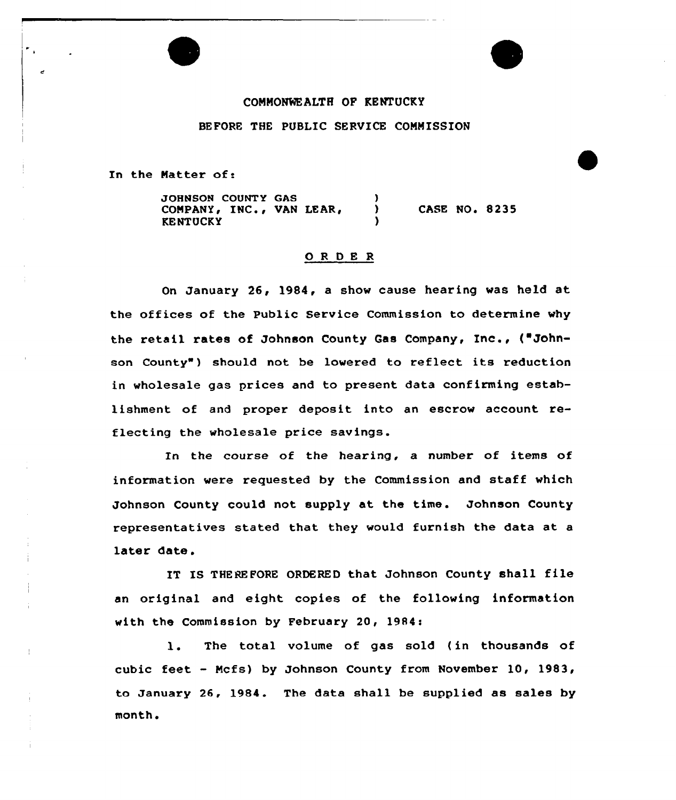## COMMONWEALTH OF KENTUCKY BEFORE THE PUBLIC SERVICE CONMISSION

In the Natter of:

 $\frac{1}{2}$ 

JOHNSON COUNTY GAS (3) COMPANY, INC., VAN LEAR, **KENTUCKY** CASE NO. 8235

## ORDER

On January 26, 1984, a show cause hearing was held at the offices of the Public Service Commission to determine why the retail rates of Johnson County Gas Company, Inc., ("Johnson County" ) should not be lowered to reflect its reduction in wholesale gas prices and to present data confirming establishment of and proper deposit into an escrow account reflecting the wholesale price savings.

In the course of the hearing, a number of items of information were requested by the Commission and staff which Johnson County could not supply at the time. Johnson County representatives stated that they would furnish the data at a later date.

IT IS THEREFORE ORDERED that Johnson County shall file an original and eight copies of the following information with the Commission by February 20, 1984:

1. The total volume of gas sold (in thousands of cubic feet - Mcfs) by Johnson County from November 10, 1983, to January 26, 1984. The data shall be supplied as sales by month.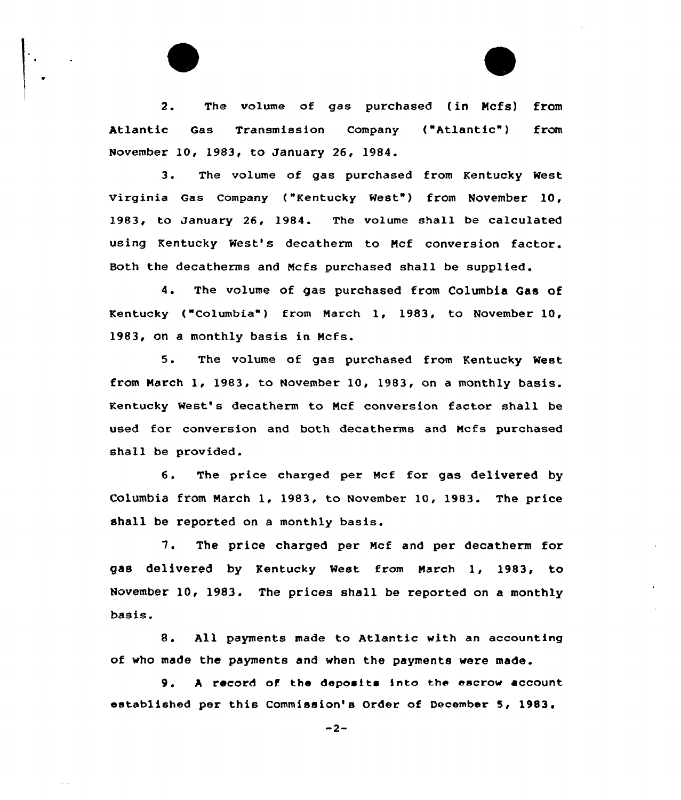2. The volume of gas purchased (in Ncfs) from Atlantic Gas Transmission Company ("Atlantic" ) from November 10, 1983, to January 26, 1984.

3. The volume of gas purchased from Kentucky West Virginia Gas Company ("Kentucky West") from November 10, 1983, to January 26, 1984. The volume shall be calculated using Kentucky West's decatherm to Mcf conversion factor. Both the decatherms and Mcfs purchased shall be supplied.

4. The volume of gas purchased from Columbia Gas of Kentucky ("Columbia") from March 1, 1983, to November 10, 1983, on a monthly basis in Mcfs.

5. The volume of gas purchased from Kentucky West from March 1, 1983, to November 10, 1983, on <sup>a</sup> monthly basis. Kentucky West's decatherm to Mcf conversion factor shall be used for conversion and both decatherms and Mcfs purchased shall be provided.

6. The price charged per Mcf for gas delivered by Columbia from March 1, 1983, to November 10, 1983. The price shall be reported on <sup>a</sup> monthly basis.

7. The price charged per Mcf and per decatherm for gas delivered by Kentucky West from March 1, 1983, to November 10, 1983. The prices shall be reported on a monthly basis.

8. All payments made to Atlantic with an accounting of who made the payments and when the payments were made.

9. A record of the deposits into the escrow account established per this Commission's Order of December 5, 1983.

 $-2-$